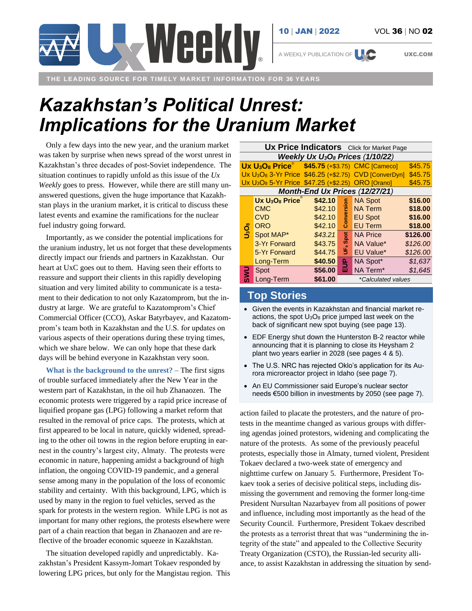

A WEEKLY PUBLICATION OF **UXC.COM** 

**THE LEADING SOURCE FOR TIMELY MARKET INFORMATION FOR 36 YEARS**

## *Kazakhstan's Political Unrest: Implications for the Uranium Market*

Weekly

Only a few days into the new year, and the uranium market was taken by surprise when news spread of the worst unrest in Kazakhstan's three decades of post-Soviet independence. The situation continues to rapidly unfold as this issue of the *Ux Weekly* goes to press. However, while there are still many unanswered questions, given the huge importance that Kazakhstan plays in the uranium market, it is critical to discuss these latest events and examine the ramifications for the nuclear fuel industry going forward.

Importantly, as we consider the potential implications for the uranium industry, let us not forget that these developments directly impact our friends and partners in Kazakhstan. Our heart at UxC goes out to them. Having seen their efforts to reassure and support their clients in this rapidly developing situation and very limited ability to communicate is a testament to their dedication to not only Kazatomprom, but the industry at large. We are grateful to Kazatomprom's Chief Commercial Officer (CCO), Askar Batyrbayev, and Kazatomprom's team both in Kazakhstan and the U.S. for updates on various aspects of their operations during these trying times, which we share below. We can only hope that these dark days will be behind everyone in Kazakhstan very soon.

**What is the background to the unrest?** – The first signs of trouble surfaced immediately after the New Year in the western part of Kazakhstan, in the oil hub Zhanaozen. The economic protests were triggered by a rapid price increase of liquified propane gas (LPG) following a market reform that resulted in the removal of price caps. The protests, which at first appeared to be local in nature, quickly widened, spreading to the other oil towns in the region before erupting in earnest in the country's largest city, Almaty. The protests were economic in nature, happening amidst a background of high inflation, the ongoing COVID-19 pandemic, and a general sense among many in the population of the loss of economic stability and certainty. With this background, LPG, which is used by many in the region to fuel vehicles, served as the spark for protests in the western region. While LPG is not as important for many other regions, the protests elsewhere were part of a chain reaction that began in Zhanaozen and are reflective of the broader economic squeeze in Kazakhstan.

The situation developed rapidly and unpredictably. Kazakhstan's President Kassym-Jomart Tokaev responded by lowering LPG prices, but only for the Mangistau region. This

| <b>Ux Price Indicators</b> Click for Market Page                          |                                                                       |         |                      |                                                                               |          |
|---------------------------------------------------------------------------|-----------------------------------------------------------------------|---------|----------------------|-------------------------------------------------------------------------------|----------|
| Weekly Ux $U_3O_8$ Prices (1/10/22)                                       |                                                                       |         |                      |                                                                               |          |
|                                                                           | Ux U <sub>3</sub> O <sub>8</sub> Price \$45.75 (+\$3.75) CMC [Cameco] |         |                      |                                                                               | \$45.75  |
|                                                                           |                                                                       |         |                      | Ux U <sub>3</sub> O <sub>8</sub> 3-Yr Price \$46.25 (+\$2.75) CVD [ConverDyn] | \$45.75  |
| Ux U <sub>3</sub> O <sub>8</sub> 5-Yr Price \$47.25 (+\$2.25) ORO [Orano] |                                                                       |         |                      |                                                                               | \$45.75  |
| Month-End Ux Prices (12/27/21)                                            |                                                                       |         |                      |                                                                               |          |
|                                                                           | $Ux U_3O_8$ Price                                                     | \$42.10 |                      | <b>NA Spot</b>                                                                | \$16.00  |
| ပ္ခံဝန္                                                                   | <b>CMC</b>                                                            | \$42.10 | Conversion           | <b>NA Term</b>                                                                | \$18.00  |
|                                                                           | <b>CVD</b>                                                            | \$42.10 |                      | <b>EU Spot</b>                                                                | \$16.00  |
|                                                                           | <b>ORO</b>                                                            | \$42.10 |                      | <b>EU Term</b>                                                                | \$18.00  |
|                                                                           | Spot MAP*                                                             | \$43.21 |                      | <b>NA Price</b>                                                               | \$126.00 |
|                                                                           | 3-Yr Forward                                                          | \$43.75 | UF <sub>6</sub> Spot | NA Value*                                                                     | \$126.00 |
|                                                                           | 5-Yr Forward                                                          | \$44.75 |                      | <b>EU Value*</b>                                                              | \$126.00 |
|                                                                           | Long-Term                                                             | \$40.50 | 윽                    | NA Spot*                                                                      | \$1,637  |
|                                                                           | Spot                                                                  | \$56.00 | ш                    | NA Term <sup>*</sup>                                                          | \$1,645  |
|                                                                           | Long-Term                                                             | \$61.00 | *Calculated values   |                                                                               |          |

## **Top Stories**

- Given the events in Kazakhstan and financial market reactions, the spot  $U_3O_8$  price jumped last week on the back of significant new spot buying (see page 13).
- EDF Energy shut down the Hunterston B-2 reactor while announcing that it is planning to close its Heysham 2 plant two years earlier in 2028 (see pages 4 & 5).
- The U.S. NRC has rejected Oklo's application for its Aurora microreactor project in Idaho (see page 7).
- An EU Commissioner said Europe's nuclear sector needs €500 billion in investments by 2050 (see page 7).

action failed to placate the protesters, and the nature of protests in the meantime changed as various groups with differing agendas joined protestors, widening and complicating the nature of the protests. As some of the previously peaceful protests, especially those in Almaty, turned violent, President Tokaev declared a two-week state of emergency and nighttime curfew on January 5. Furthermore, President Tokaev took a series of decisive political steps, including dismissing the government and removing the former long-time President Nursultan Nazarbayev from all positions of power and influence, including most importantly as the head of the Security Council. Furthermore, President Tokaev described the protests as a terrorist threat that was "undermining the integrity of the state" and appealed to the Collective Security Treaty Organization (CSTO), the Russian-led security alliance, to assist Kazakhstan in addressing the situation by send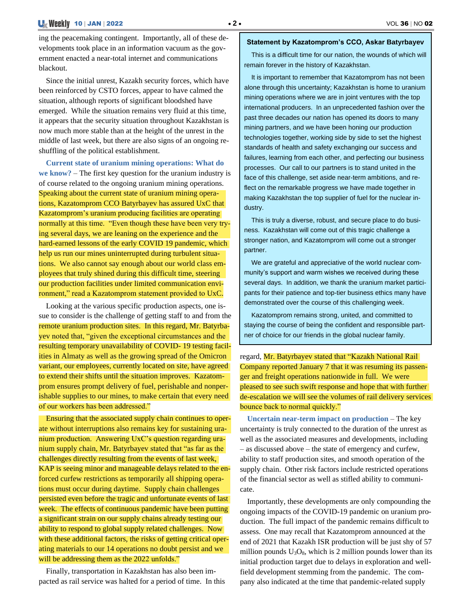ing the peacemaking contingent. Importantly, all of these developments took place in an information vacuum as the government enacted a near-total internet and communications blackout.

Since the initial unrest, Kazakh security forces, which have been reinforced by CSTO forces, appear to have calmed the situation, although reports of significant bloodshed have emerged. While the situation remains very fluid at this time, it appears that the security situation throughout Kazakhstan is now much more stable than at the height of the unrest in the middle of last week, but there are also signs of an ongoing reshuffling of the political establishment.

**Current state of uranium mining operations: What do we know?** – The first key question for the uranium industry is of course related to the ongoing uranium mining operations. Speaking about the current state of uranium mining operations, Kazatomprom CCO Batyrbayev has assured UxC that Kazatomprom's uranium producing facilities are operating normally at this time. "Even though these have been very trying several days, we are leaning on the experience and the hard-earned lessons of the early COVID 19 pandemic, which help us run our mines uninterrupted during turbulent situations. We also cannot say enough about our world class employees that truly shined during this difficult time, steering our production facilities under limited communication environment," read a Kazatomprom statement provided to UxC.

Looking at the various specific production aspects, one issue to consider is the challenge of getting staff to and from the remote uranium production sites. In this regard, Mr. Batyrbayev noted that, "given the exceptional circumstances and the resulting temporary unavailability of COVID- 19 testing facilities in Almaty as well as the growing spread of the Omicron variant, our employees, currently located on site, have agreed to extend their shifts until the situation improves. Kazatomprom ensures prompt delivery of fuel, perishable and nonperishable supplies to our mines, to make certain that every need of our workers has been addressed."

Ensuring that the associated supply chain continues to operate without interruptions also remains key for sustaining uranium production. Answering UxC's question regarding uranium supply chain, Mr. Batyrbayev stated that "as far as the challenges directly resulting from the events of last week, KAP is seeing minor and manageable delays related to the enforced curfew restrictions as temporarily all shipping operations must occur during daytime. Supply chain challenges persisted even before the tragic and unfortunate events of last week. The effects of continuous pandemic have been putting a significant strain on our supply chains already testing our ability to respond to global supply related challenges. Now with these additional factors, the risks of getting critical operating materials to our 14 operations no doubt persist and we will be addressing them as the 2022 unfolds."

Finally, transportation in Kazakhstan has also been impacted as rail service was halted for a period of time. In this

## **Statement by Kazatomprom's CCO, Askar Batyrbayev**

This is a difficult time for our nation, the wounds of which will remain forever in the history of Kazakhstan.

It is important to remember that Kazatomprom has not been alone through this uncertainty; Kazakhstan is home to uranium mining operations where we are in joint ventures with the top international producers. In an unprecedented fashion over the past three decades our nation has opened its doors to many mining partners, and we have been honing our production technologies together, working side by side to set the highest standards of health and safety exchanging our success and failures, learning from each other, and perfecting our business processes. Our call to our partners is to stand united in the face of this challenge, set aside near-term ambitions, and reflect on the remarkable progress we have made together in making Kazakhstan the top supplier of fuel for the nuclear industry.

This is truly a diverse, robust, and secure place to do business. Kazakhstan will come out of this tragic challenge a stronger nation, and Kazatomprom will come out a stronger partner.

We are grateful and appreciative of the world nuclear community's support and warm wishes we received during these several days. In addition, we thank the uranium market participants for their patience and top-tier business ethics many have demonstrated over the course of this challenging week.

Kazatomprom remains strong, united, and committed to staying the course of being the confident and responsible partner of choice for our friends in the global nuclear family.

regard, Mr. Batyrbayev stated that "Kazakh National Rail Company reported January 7 that it was resuming its passenger and freight operations nationwide in full. We were pleased to see such swift response and hope that with further de-escalation we will see the volumes of rail delivery services bounce back to normal quickly."

**Uncertain near-term impact on production** – The key uncertainty is truly connected to the duration of the unrest as well as the associated measures and developments, including – as discussed above – the state of emergency and curfew, ability to staff production sites, and smooth operation of the supply chain. Other risk factors include restricted operations of the financial sector as well as stifled ability to communicate.

Importantly, these developments are only compounding the ongoing impacts of the COVID-19 pandemic on uranium production. The full impact of the pandemic remains difficult to assess. One may recall that Kazatomprom announced at the end of 2021 that Kazakh ISR production will be just shy of 57 million pounds  $U_3O_8$ , which is 2 million pounds lower than its initial production target due to delays in exploration and wellfield development stemming from the pandemic. The company also indicated at the time that pandemic-related supply